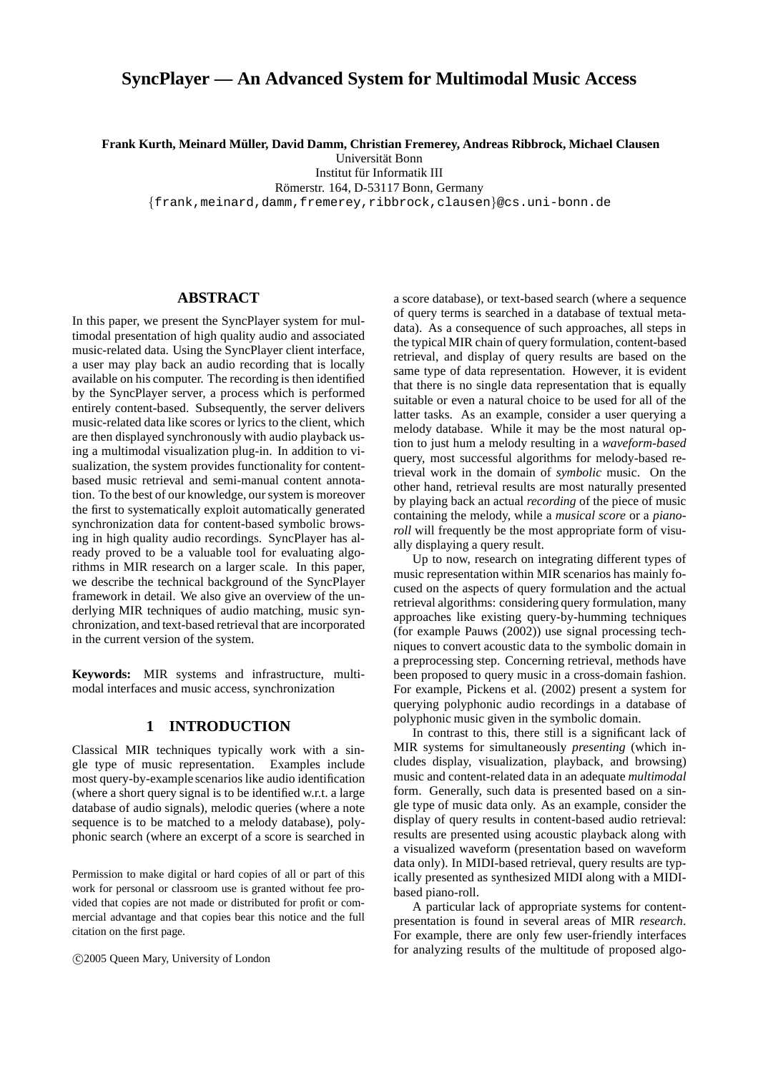# **SyncPlayer — An Advanced System for Multimodal Music Access**

**Frank Kurth, Meinard M¨uller, David Damm, Christian Fremerey, Andreas Ribbrock, Michael Clausen**

Universität Bonn

Institut für Informatik III

Römerstr. 164, D-53117 Bonn, Germany

{frank,meinard,damm,fremerey,ribbrock,clausen}@cs.uni-bonn.de

# **ABSTRACT**

In this paper, we present the SyncPlayer system for multimodal presentation of high quality audio and associated music-related data. Using the SyncPlayer client interface, a user may play back an audio recording that is locally available on his computer. The recording is then identified by the SyncPlayer server, a process which is performed entirely content-based. Subsequently, the server delivers music-related data like scores or lyrics to the client, which are then displayed synchronously with audio playback using a multimodal visualization plug-in. In addition to visualization, the system provides functionality for contentbased music retrieval and semi-manual content annotation. To the best of our knowledge, our system is moreover the first to systematically exploit automatically generated synchronization data for content-based symbolic browsing in high quality audio recordings. SyncPlayer has already proved to be a valuable tool for evaluating algorithms in MIR research on a larger scale. In this paper, we describe the technical background of the SyncPlayer framework in detail. We also give an overview of the underlying MIR techniques of audio matching, music synchronization, and text-based retrieval that are incorporated in the current version of the system.

**Keywords:** MIR systems and infrastructure, multimodal interfaces and music access, synchronization

# **1 INTRODUCTION**

Classical MIR techniques typically work with a single type of music representation. Examples include most query-by-example scenarios like audio identification (where a short query signal is to be identified w.r.t. a large database of audio signals), melodic queries (where a note sequence is to be matched to a melody database), polyphonic search (where an excerpt of a score is searched in

Permission to make digital or hard copies of all or part of this work for personal or classroom use is granted without fee provided that copies are not made or distributed for profit or commercial advantage and that copies bear this notice and the full citation on the first page.

c 2005 Queen Mary, University of London

a score database), or text-based search (where a sequence of query terms is searched in a database of textual metadata). As a consequence of such approaches, all steps in the typical MIR chain of query formulation, content-based retrieval, and display of query results are based on the same type of data representation. However, it is evident that there is no single data representation that is equally suitable or even a natural choice to be used for all of the latter tasks. As an example, consider a user querying a melody database. While it may be the most natural option to just hum a melody resulting in a *waveform-based* query, most successful algorithms for melody-based retrieval work in the domain of *symbolic* music. On the other hand, retrieval results are most naturally presented by playing back an actual *recording* of the piece of music containing the melody, while a *musical score* or a *pianoroll* will frequently be the most appropriate form of visually displaying a query result.

Up to now, research on integrating different types of music representation within MIR scenarios has mainly focused on the aspects of query formulation and the actual retrieval algorithms: considering query formulation, many approaches like existing query-by-humming techniques (for example Pauws (2002)) use signal processing techniques to convert acoustic data to the symbolic domain in a preprocessing step. Concerning retrieval, methods have been proposed to query music in a cross-domain fashion. For example, Pickens et al. (2002) present a system for querying polyphonic audio recordings in a database of polyphonic music given in the symbolic domain.

In contrast to this, there still is a significant lack of MIR systems for simultaneously *presenting* (which includes display, visualization, playback, and browsing) music and content-related data in an adequate *multimodal* form. Generally, such data is presented based on a single type of music data only. As an example, consider the display of query results in content-based audio retrieval: results are presented using acoustic playback along with a visualized waveform (presentation based on waveform data only). In MIDI-based retrieval, query results are typically presented as synthesized MIDI along with a MIDIbased piano-roll.

A particular lack of appropriate systems for contentpresentation is found in several areas of MIR *research*. For example, there are only few user-friendly interfaces for analyzing results of the multitude of proposed algo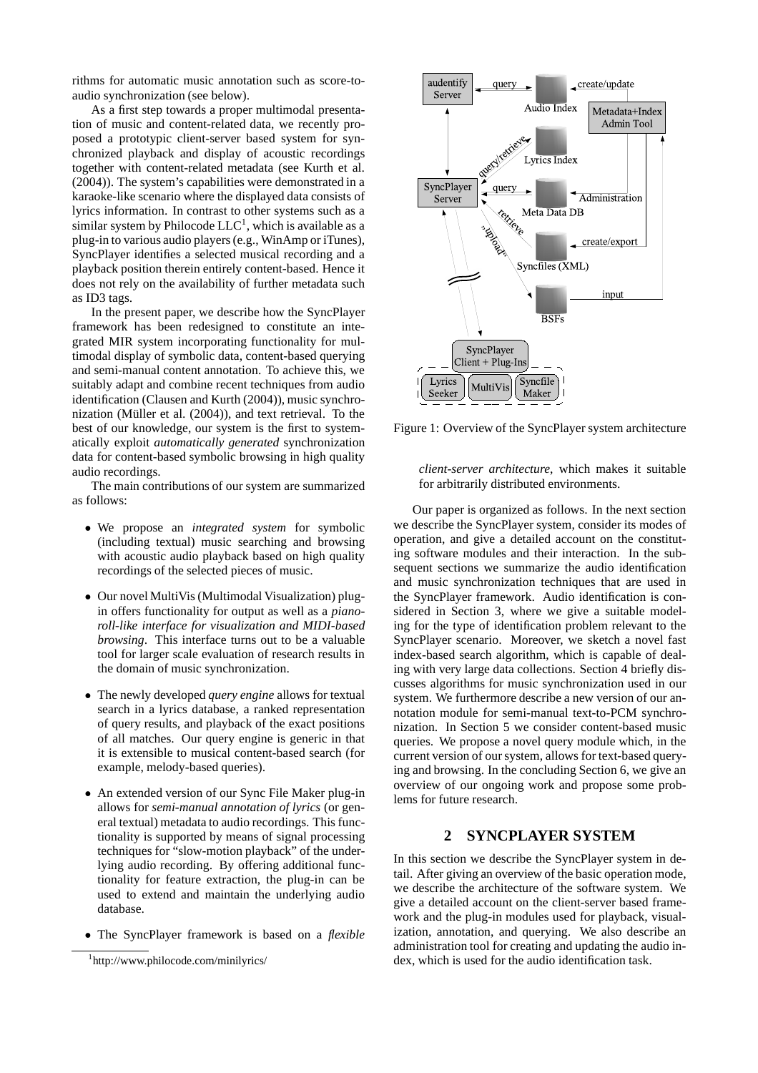rithms for automatic music annotation such as score-toaudio synchronization (see below).

As a first step towards a proper multimodal presentation of music and content-related data, we recently proposed a prototypic client-server based system for synchronized playback and display of acoustic recordings together with content-related metadata (see Kurth et al. (2004)). The system's capabilities were demonstrated in a karaoke-like scenario where the displayed data consists of lyrics information. In contrast to other systems such as a similar system by Philocode  $LLC<sup>1</sup>$ , which is available as a plug-in to various audio players (e.g., WinAmp or iTunes), SyncPlayer identifies a selected musical recording and a playback position therein entirely content-based. Hence it does not rely on the availability of further metadata such as ID3 tags.

In the present paper, we describe how the SyncPlayer framework has been redesigned to constitute an integrated MIR system incorporating functionality for multimodal display of symbolic data, content-based querying and semi-manual content annotation. To achieve this, we suitably adapt and combine recent techniques from audio identification (Clausen and Kurth (2004)), music synchronization (Müller et al. (2004)), and text retrieval. To the best of our knowledge, our system is the first to systematically exploit *automatically generated* synchronization data for content-based symbolic browsing in high quality audio recordings.

The main contributions of our system are summarized as follows:

- We propose an *integrated system* for symbolic (including textual) music searching and browsing with acoustic audio playback based on high quality recordings of the selected pieces of music.
- Our novel MultiVis (Multimodal Visualization) plugin offers functionality for output as well as a *pianoroll-like interface for visualization and MIDI-based browsing*. This interface turns out to be a valuable tool for larger scale evaluation of research results in the domain of music synchronization.
- The newly developed *query engine* allows for textual search in a lyrics database, a ranked representation of query results, and playback of the exact positions of all matches. Our query engine is generic in that it is extensible to musical content-based search (for example, melody-based queries).
- An extended version of our Sync File Maker plug-in allows for *semi-manual annotation of lyrics* (or general textual) metadata to audio recordings. This functionality is supported by means of signal processing techniques for "slow-motion playback" of the underlying audio recording. By offering additional functionality for feature extraction, the plug-in can be used to extend and maintain the underlying audio database.
- The SyncPlayer framework is based on a *flexible*



Figure 1: Overview of the SyncPlayer system architecture

# *client-server architecture*, which makes it suitable for arbitrarily distributed environments.

Our paper is organized as follows. In the next section we describe the SyncPlayer system, consider its modes of operation, and give a detailed account on the constituting software modules and their interaction. In the subsequent sections we summarize the audio identification and music synchronization techniques that are used in the SyncPlayer framework. Audio identification is considered in Section 3, where we give a suitable modeling for the type of identification problem relevant to the SyncPlayer scenario. Moreover, we sketch a novel fast index-based search algorithm, which is capable of dealing with very large data collections. Section 4 briefly discusses algorithms for music synchronization used in our system. We furthermore describe a new version of our annotation module for semi-manual text-to-PCM synchronization. In Section 5 we consider content-based music queries. We propose a novel query module which, in the current version of our system, allows for text-based querying and browsing. In the concluding Section 6, we give an overview of our ongoing work and propose some problems for future research.

# **2 SYNCPLAYER SYSTEM**

In this section we describe the SyncPlayer system in detail. After giving an overview of the basic operation mode, we describe the architecture of the software system. We give a detailed account on the client-server based framework and the plug-in modules used for playback, visualization, annotation, and querying. We also describe an administration tool for creating and updating the audio index, which is used for the audio identification task.

<sup>1</sup> http://www.philocode.com/minilyrics/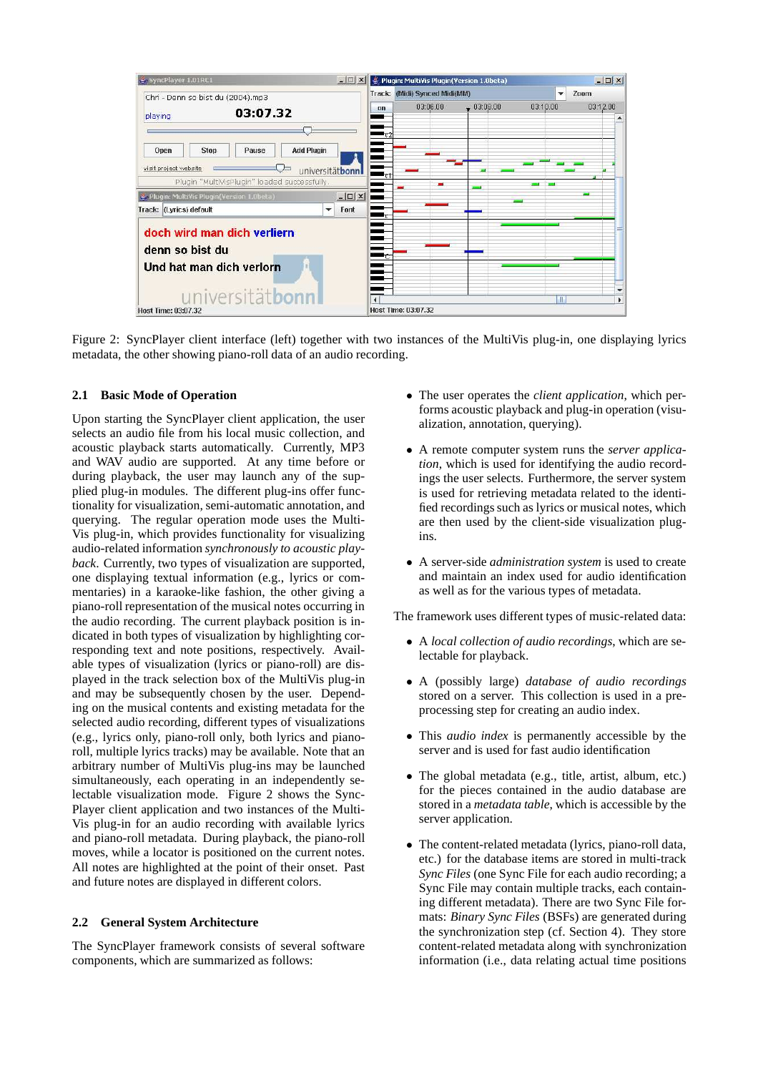

Figure 2: SyncPlayer client interface (left) together with two instances of the MultiVis plug-in, one displaying lyrics metadata, the other showing piano-roll data of an audio recording.

## **2.1 Basic Mode of Operation**

Upon starting the SyncPlayer client application, the user selects an audio file from his local music collection, and acoustic playback starts automatically. Currently, MP3 and WAV audio are supported. At any time before or during playback, the user may launch any of the supplied plug-in modules. The different plug-ins offer functionality for visualization, semi-automatic annotation, and querying. The regular operation mode uses the Multi-Vis plug-in, which provides functionality for visualizing audio-related information *synchronously to acoustic playback*. Currently, two types of visualization are supported, one displaying textual information (e.g., lyrics or commentaries) in a karaoke-like fashion, the other giving a piano-roll representation of the musical notes occurring in the audio recording. The current playback position is indicated in both types of visualization by highlighting corresponding text and note positions, respectively. Available types of visualization (lyrics or piano-roll) are displayed in the track selection box of the MultiVis plug-in and may be subsequently chosen by the user. Depending on the musical contents and existing metadata for the selected audio recording, different types of visualizations (e.g., lyrics only, piano-roll only, both lyrics and pianoroll, multiple lyrics tracks) may be available. Note that an arbitrary number of MultiVis plug-ins may be launched simultaneously, each operating in an independently selectable visualization mode. Figure 2 shows the Sync-Player client application and two instances of the Multi-Vis plug-in for an audio recording with available lyrics and piano-roll metadata. During playback, the piano-roll moves, while a locator is positioned on the current notes. All notes are highlighted at the point of their onset. Past and future notes are displayed in different colors.

### **2.2 General System Architecture**

The SyncPlayer framework consists of several software components, which are summarized as follows:

- The user operates the *client application*, which performs acoustic playback and plug-in operation (visualization, annotation, querying).
- A remote computer system runs the *server application*, which is used for identifying the audio recordings the user selects. Furthermore, the server system is used for retrieving metadata related to the identified recordings such as lyrics or musical notes, which are then used by the client-side visualization plugins.
- A server-side *administration system* is used to create and maintain an index used for audio identification as well as for the various types of metadata.

The framework uses different types of music-related data:

- A *local collection of audio recordings*, which are selectable for playback.
- A (possibly large) *database of audio recordings* stored on a server. This collection is used in a preprocessing step for creating an audio index.
- This *audio index* is permanently accessible by the server and is used for fast audio identification
- The global metadata (e.g., title, artist, album, etc.) for the pieces contained in the audio database are stored in a *metadata table*, which is accessible by the server application.
- The content-related metadata (lyrics, piano-roll data, etc.) for the database items are stored in multi-track *Sync Files* (one Sync File for each audio recording; a Sync File may contain multiple tracks, each containing different metadata). There are two Sync File formats: *Binary Sync Files* (BSFs) are generated during the synchronization step (cf. Section 4). They store content-related metadata along with synchronization information (i.e., data relating actual time positions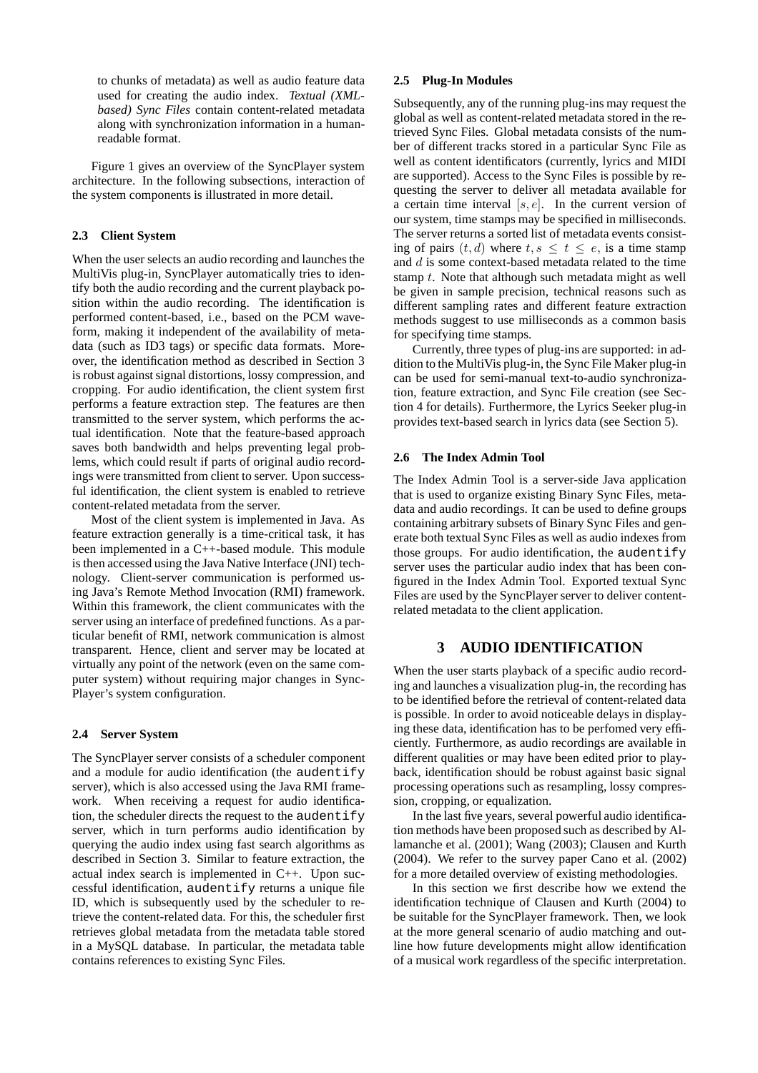to chunks of metadata) as well as audio feature data used for creating the audio index. *Textual (XMLbased) Sync Files* contain content-related metadata along with synchronization information in a humanreadable format.

Figure 1 gives an overview of the SyncPlayer system architecture. In the following subsections, interaction of the system components is illustrated in more detail.

### **2.3 Client System**

When the user selects an audio recording and launches the MultiVis plug-in, SyncPlayer automatically tries to identify both the audio recording and the current playback position within the audio recording. The identification is performed content-based, i.e., based on the PCM waveform, making it independent of the availability of metadata (such as ID3 tags) or specific data formats. Moreover, the identification method as described in Section 3 is robust against signal distortions, lossy compression, and cropping. For audio identification, the client system first performs a feature extraction step. The features are then transmitted to the server system, which performs the actual identification. Note that the feature-based approach saves both bandwidth and helps preventing legal problems, which could result if parts of original audio recordings were transmitted from client to server. Upon successful identification, the client system is enabled to retrieve content-related metadata from the server.

Most of the client system is implemented in Java. As feature extraction generally is a time-critical task, it has been implemented in a C++-based module. This module is then accessed using the Java Native Interface (JNI) technology. Client-server communication is performed using Java's Remote Method Invocation (RMI) framework. Within this framework, the client communicates with the server using an interface of predefined functions. As a particular benefit of RMI, network communication is almost transparent. Hence, client and server may be located at virtually any point of the network (even on the same computer system) without requiring major changes in Sync-Player's system configuration.

# **2.4 Server System**

The SyncPlayer server consists of a scheduler component and a module for audio identification (the audentify server), which is also accessed using the Java RMI framework. When receiving a request for audio identification, the scheduler directs the request to the audentify server, which in turn performs audio identification by querying the audio index using fast search algorithms as described in Section 3. Similar to feature extraction, the actual index search is implemented in C++. Upon successful identification, audentify returns a unique file ID, which is subsequently used by the scheduler to retrieve the content-related data. For this, the scheduler first retrieves global metadata from the metadata table stored in a MySQL database. In particular, the metadata table contains references to existing Sync Files.

### **2.5 Plug-In Modules**

Subsequently, any of the running plug-ins may request the global as well as content-related metadata stored in the retrieved Sync Files. Global metadata consists of the number of different tracks stored in a particular Sync File as well as content identificators (currently, lyrics and MIDI are supported). Access to the Sync Files is possible by requesting the server to deliver all metadata available for a certain time interval  $[s, e]$ . In the current version of our system, time stamps may be specified in milliseconds. The server returns a sorted list of metadata events consisting of pairs  $(t, d)$  where  $t, s \leq t \leq e$ , is a time stamp and d is some context-based metadata related to the time stamp t. Note that although such metadata might as well be given in sample precision, technical reasons such as different sampling rates and different feature extraction methods suggest to use milliseconds as a common basis for specifying time stamps.

Currently, three types of plug-ins are supported: in addition to the MultiVis plug-in, the Sync File Maker plug-in can be used for semi-manual text-to-audio synchronization, feature extraction, and Sync File creation (see Section 4 for details). Furthermore, the Lyrics Seeker plug-in provides text-based search in lyrics data (see Section 5).

### **2.6 The Index Admin Tool**

The Index Admin Tool is a server-side Java application that is used to organize existing Binary Sync Files, metadata and audio recordings. It can be used to define groups containing arbitrary subsets of Binary Sync Files and generate both textual Sync Files as well as audio indexes from those groups. For audio identification, the audentify server uses the particular audio index that has been configured in the Index Admin Tool. Exported textual Sync Files are used by the SyncPlayer server to deliver contentrelated metadata to the client application.

# **3 AUDIO IDENTIFICATION**

When the user starts playback of a specific audio recording and launches a visualization plug-in, the recording has to be identified before the retrieval of content-related data is possible. In order to avoid noticeable delays in displaying these data, identification has to be perfomed very efficiently. Furthermore, as audio recordings are available in different qualities or may have been edited prior to playback, identification should be robust against basic signal processing operations such as resampling, lossy compression, cropping, or equalization.

In the last five years, several powerful audio identification methods have been proposed such as described by Allamanche et al. (2001); Wang (2003); Clausen and Kurth (2004). We refer to the survey paper Cano et al. (2002) for a more detailed overview of existing methodologies.

In this section we first describe how we extend the identification technique of Clausen and Kurth (2004) to be suitable for the SyncPlayer framework. Then, we look at the more general scenario of audio matching and outline how future developments might allow identification of a musical work regardless of the specific interpretation.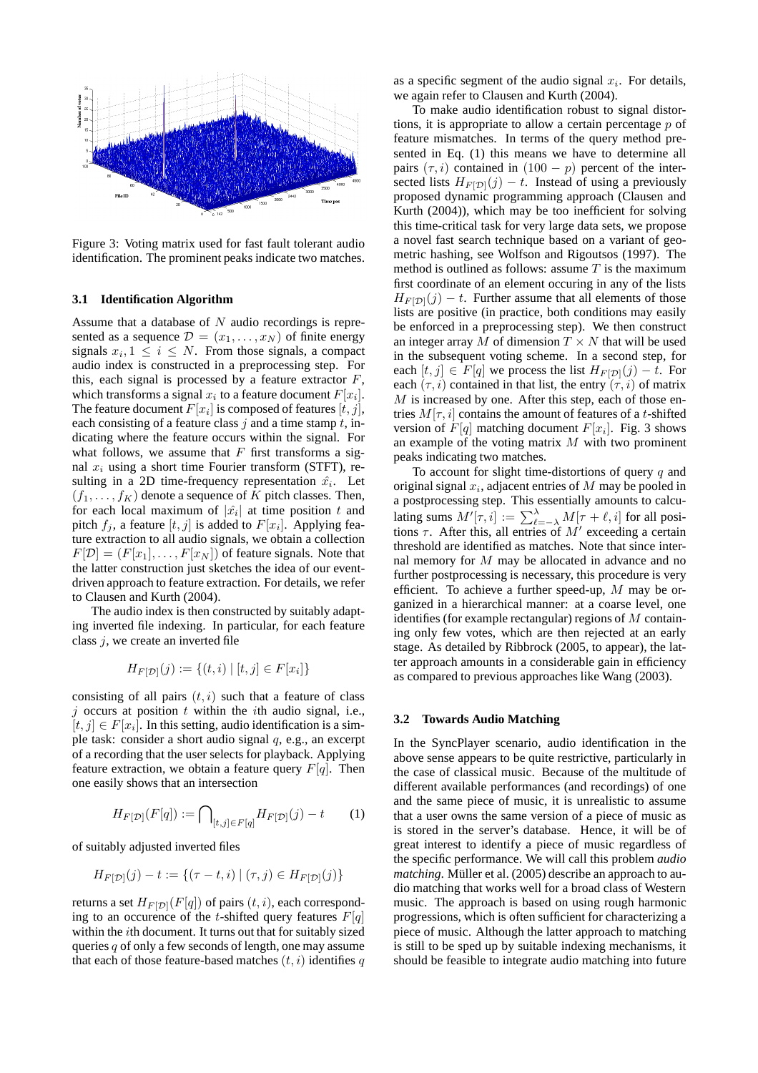

Figure 3: Voting matrix used for fast fault tolerant audio identification. The prominent peaks indicate two matches.

### **3.1 Identification Algorithm**

Assume that a database of  $N$  audio recordings is represented as a sequence  $\mathcal{D} = (x_1, \dots, x_N)$  of finite energy signals  $x_i, 1 \leq i \leq N$ . From those signals, a compact audio index is constructed in a preprocessing step. For this, each signal is processed by a feature extractor  $F$ , which transforms a signal  $x_i$  to a feature document  $F[x_i]$ . The feature document  $F[x_i]$  is composed of features  $[t, j]$ , each consisting of a feature class  $j$  and a time stamp  $t$ , indicating where the feature occurs within the signal. For what follows, we assume that  $F$  first transforms a signal  $x_i$  using a short time Fourier transform (STFT), resulting in a 2D time-frequency representation  $\hat{x_i}$ . Let  $(f_1, \ldots, f_K)$  denote a sequence of K pitch classes. Then, for each local maximum of  $|\hat{x}_i|$  at time position t and pitch  $f_j$ , a feature  $[t, j]$  is added to  $F[x_i]$ . Applying feature extraction to all audio signals, we obtain a collection  $F[\mathcal{D}] = (F[x_1], \ldots, F[x_N])$  of feature signals. Note that the latter construction just sketches the idea of our eventdriven approach to feature extraction. For details, we refer to Clausen and Kurth (2004).

The audio index is then constructed by suitably adapting inverted file indexing. In particular, for each feature class  $j$ , we create an inverted file

$$
H_{F[\mathcal{D}]}(j) := \{(t, i) \mid [t, j] \in F[x_i]\}
$$

consisting of all pairs  $(t, i)$  such that a feature of class j occurs at position  $t$  within the *i*th audio signal, i.e.,  $[t, j] \in F[x_i]$ . In this setting, audio identification is a simple task: consider a short audio signal  $q$ , e.g., an excerpt of a recording that the user selects for playback. Applying feature extraction, we obtain a feature query  $F[q]$ . Then one easily shows that an intersection

$$
H_{F[\mathcal{D}]}(F[q]) := \bigcap_{[t,j] \in F[q]} H_{F[\mathcal{D}]}(j) - t \tag{1}
$$

of suitably adjusted inverted files

$$
H_{F[\mathcal{D}]}(j) - t := \{ (\tau - t, i) \mid (\tau, j) \in H_{F[\mathcal{D}]}(j) \}
$$

returns a set  $H_{F[D]}(F[q])$  of pairs  $(t, i)$ , each corresponding to an occurence of the t-shifted query features  $F[q]$ within the ith document. It turns out that for suitably sized queries  $q$  of only a few seconds of length, one may assume that each of those feature-based matches  $(t, i)$  identifies q as a specific segment of the audio signal  $x_i$ . For details, we again refer to Clausen and Kurth (2004).

To make audio identification robust to signal distortions, it is appropriate to allow a certain percentage  $p$  of feature mismatches. In terms of the query method presented in Eq. (1) this means we have to determine all pairs  $(\tau, i)$  contained in  $(100 - p)$  percent of the intersected lists  $H_{F[D]}(j) - t$ . Instead of using a previously proposed dynamic programming approach (Clausen and Kurth (2004)), which may be too inefficient for solving this time-critical task for very large data sets, we propose a novel fast search technique based on a variant of geometric hashing, see Wolfson and Rigoutsos (1997). The method is outlined as follows: assume  $T$  is the maximum first coordinate of an element occuring in any of the lists  $H_{F[D]}(j) - t$ . Further assume that all elements of those lists are positive (in practice, both conditions may easily be enforced in a preprocessing step). We then construct an integer array M of dimension  $T \times N$  that will be used in the subsequent voting scheme. In a second step, for each  $[t, j] \in F[q]$  we process the list  $H_{F[D]}(j) - t$ . For each  $(\tau, i)$  contained in that list, the entry  $(\tau, i)$  of matrix  $M$  is increased by one. After this step, each of those entries  $M[\tau, i]$  contains the amount of features of a t-shifted version of  $F[q]$  matching document  $F[x_i]$ . Fig. 3 shows an example of the voting matrix  $M$  with two prominent peaks indicating two matches.

To account for slight time-distortions of query  $q$  and original signal  $x_i$ , adjacent entries of  $M$  may be pooled in a postprocessing step. This essentially amounts to calculating sums  $M'[\tau, i] := \sum_{\ell=-\lambda}^{\lambda} M[\tau + \ell, i]$  for all positions  $\tau$ . After this, all entries of  $M'$  exceeding a certain threshold are identified as matches. Note that since internal memory for  $M$  may be allocated in advance and no further postprocessing is necessary, this procedure is very efficient. To achieve a further speed-up,  $M$  may be organized in a hierarchical manner: at a coarse level, one identifies (for example rectangular) regions of  $M$  containing only few votes, which are then rejected at an early stage. As detailed by Ribbrock (2005, to appear), the latter approach amounts in a considerable gain in efficiency as compared to previous approaches like Wang (2003).

### **3.2 Towards Audio Matching**

In the SyncPlayer scenario, audio identification in the above sense appears to be quite restrictive, particularly in the case of classical music. Because of the multitude of different available performances (and recordings) of one and the same piece of music, it is unrealistic to assume that a user owns the same version of a piece of music as is stored in the server's database. Hence, it will be of great interest to identify a piece of music regardless of the specific performance. We will call this problem *audio matching*. Müller et al. (2005) describe an approach to audio matching that works well for a broad class of Western music. The approach is based on using rough harmonic progressions, which is often sufficient for characterizing a piece of music. Although the latter approach to matching is still to be sped up by suitable indexing mechanisms, it should be feasible to integrate audio matching into future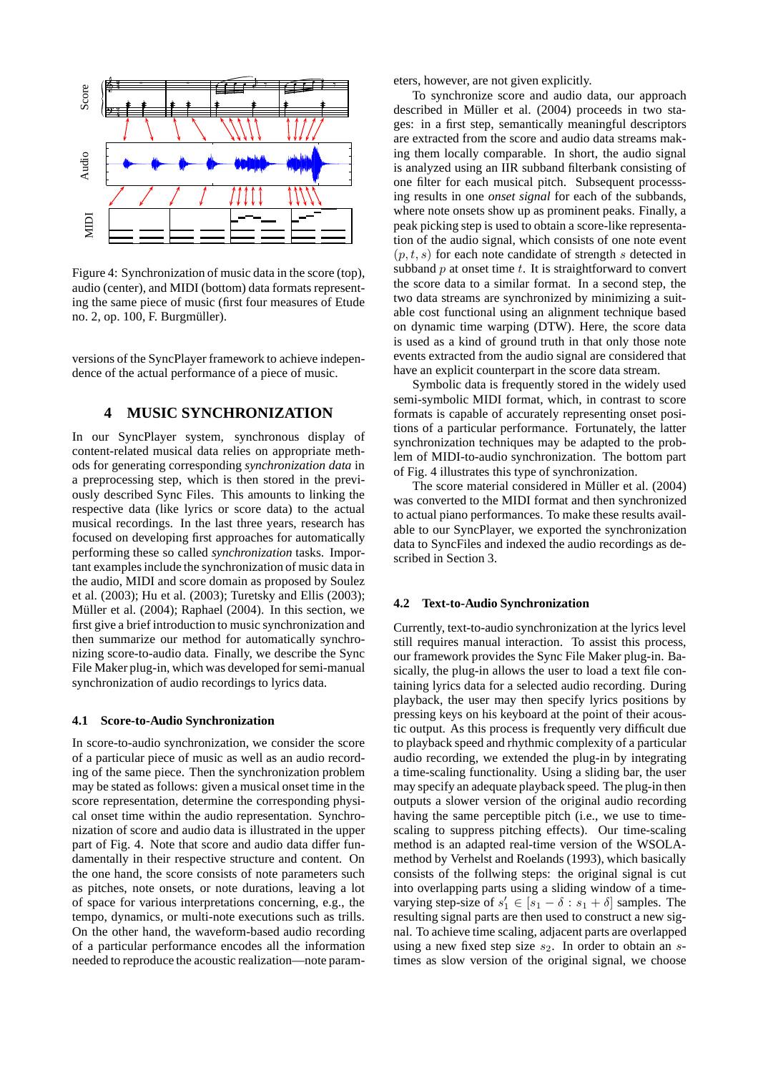

Figure 4: Synchronization of music data in the score (top), audio (center), and MIDI (bottom) data formats representing the same piece of music (first four measures of Etude no. 2, op. 100, F. Burgmüller).

versions of the SyncPlayer framework to achieve independence of the actual performance of a piece of music.

# **4 MUSIC SYNCHRONIZATION**

In our SyncPlayer system, synchronous display of content-related musical data relies on appropriate methods for generating corresponding *synchronization data* in a preprocessing step, which is then stored in the previously described Sync Files. This amounts to linking the respective data (like lyrics or score data) to the actual musical recordings. In the last three years, research has focused on developing first approaches for automatically performing these so called *synchronization* tasks. Important examples include the synchronization of music data in the audio, MIDI and score domain as proposed by Soulez et al. (2003); Hu et al. (2003); Turetsky and Ellis (2003); Müller et al. (2004); Raphael (2004). In this section, we first give a brief introduction to music synchronization and then summarize our method for automatically synchronizing score-to-audio data. Finally, we describe the Sync File Maker plug-in, which was developed for semi-manual synchronization of audio recordings to lyrics data.

### **4.1 Score-to-Audio Synchronization**

In score-to-audio synchronization, we consider the score of a particular piece of music as well as an audio recording of the same piece. Then the synchronization problem may be stated as follows: given a musical onset time in the score representation, determine the corresponding physical onset time within the audio representation. Synchronization of score and audio data is illustrated in the upper part of Fig. 4. Note that score and audio data differ fundamentally in their respective structure and content. On the one hand, the score consists of note parameters such as pitches, note onsets, or note durations, leaving a lot of space for various interpretations concerning, e.g., the tempo, dynamics, or multi-note executions such as trills. On the other hand, the waveform-based audio recording of a particular performance encodes all the information needed to reproduce the acoustic realization—note parameters, however, are not given explicitly.

To synchronize score and audio data, our approach described in Müller et al. (2004) proceeds in two stages: in a first step, semantically meaningful descriptors are extracted from the score and audio data streams making them locally comparable. In short, the audio signal is analyzed using an IIR subband filterbank consisting of one filter for each musical pitch. Subsequent processsing results in one *onset signal* for each of the subbands, where note onsets show up as prominent peaks. Finally, a peak picking step is used to obtain a score-like representation of the audio signal, which consists of one note event  $(p, t, s)$  for each note candidate of strength s detected in subband  $p$  at onset time  $t$ . It is straightforward to convert the score data to a similar format. In a second step, the two data streams are synchronized by minimizing a suitable cost functional using an alignment technique based on dynamic time warping (DTW). Here, the score data is used as a kind of ground truth in that only those note events extracted from the audio signal are considered that have an explicit counterpart in the score data stream.

Symbolic data is frequently stored in the widely used semi-symbolic MIDI format, which, in contrast to score formats is capable of accurately representing onset positions of a particular performance. Fortunately, the latter synchronization techniques may be adapted to the problem of MIDI-to-audio synchronization. The bottom part of Fig. 4 illustrates this type of synchronization.

The score material considered in Müller et al. (2004) was converted to the MIDI format and then synchronized to actual piano performances. To make these results available to our SyncPlayer, we exported the synchronization data to SyncFiles and indexed the audio recordings as described in Section 3.

#### **4.2 Text-to-Audio Synchronization**

Currently, text-to-audio synchronization at the lyrics level still requires manual interaction. To assist this process, our framework provides the Sync File Maker plug-in. Basically, the plug-in allows the user to load a text file containing lyrics data for a selected audio recording. During playback, the user may then specify lyrics positions by pressing keys on his keyboard at the point of their acoustic output. As this process is frequently very difficult due to playback speed and rhythmic complexity of a particular audio recording, we extended the plug-in by integrating a time-scaling functionality. Using a sliding bar, the user may specify an adequate playback speed. The plug-in then outputs a slower version of the original audio recording having the same perceptible pitch (i.e., we use to timescaling to suppress pitching effects). Our time-scaling method is an adapted real-time version of the WSOLAmethod by Verhelst and Roelands (1993), which basically consists of the follwing steps: the original signal is cut into overlapping parts using a sliding window of a timevarying step-size of  $s'_1 \in [s_1 - \delta : s_1 + \delta]$  samples. The resulting signal parts are then used to construct a new signal. To achieve time scaling, adjacent parts are overlapped using a new fixed step size  $s_2$ . In order to obtain an  $s$ times as slow version of the original signal, we choose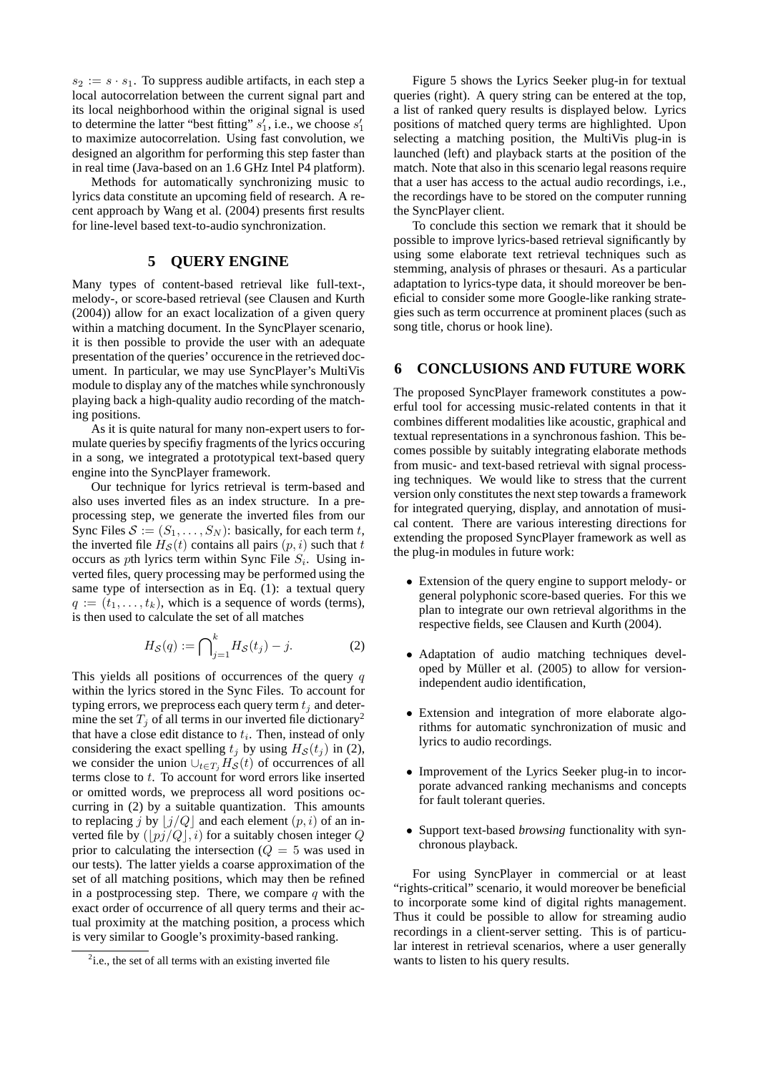$s_2 := s \cdot s_1$ . To suppress audible artifacts, in each step a local autocorrelation between the current signal part and its local neighborhood within the original signal is used to determine the latter "best fitting"  $s'_1$ , i.e., we choose  $s'_1$ to maximize autocorrelation. Using fast convolution, we designed an algorithm for performing this step faster than in real time (Java-based on an 1.6 GHz Intel P4 platform).

Methods for automatically synchronizing music to lyrics data constitute an upcoming field of research. A recent approach by Wang et al. (2004) presents first results for line-level based text-to-audio synchronization.

# **5 QUERY ENGINE**

Many types of content-based retrieval like full-text-, melody-, or score-based retrieval (see Clausen and Kurth (2004)) allow for an exact localization of a given query within a matching document. In the SyncPlayer scenario, it is then possible to provide the user with an adequate presentation of the queries' occurence in the retrieved document. In particular, we may use SyncPlayer's MultiVis module to display any of the matches while synchronously playing back a high-quality audio recording of the matching positions.

As it is quite natural for many non-expert users to formulate queries by specifiy fragments of the lyrics occuring in a song, we integrated a prototypical text-based query engine into the SyncPlayer framework.

Our technique for lyrics retrieval is term-based and also uses inverted files as an index structure. In a preprocessing step, we generate the inverted files from our Sync Files  $S := (S_1, \ldots, S_N)$ : basically, for each term t, the inverted file  $H_S(t)$  contains all pairs  $(p, i)$  such that t occurs as pth lyrics term within Sync File  $S_i$ . Using inverted files, query processing may be performed using the same type of intersection as in Eq. (1): a textual query  $q := (t_1, \ldots, t_k)$ , which is a sequence of words (terms), is then used to calculate the set of all matches

$$
H_{\mathcal{S}}(q) := \bigcap_{j=1}^{k} H_{\mathcal{S}}(t_j) - j.
$$
 (2)

This yields all positions of occurrences of the query  $q$ within the lyrics stored in the Sync Files. To account for typing errors, we preprocess each query term  $t_j$  and determine the set  $T_j$  of all terms in our inverted file dictionary<sup>2</sup> that have a close edit distance to  $t_i$ . Then, instead of only considering the exact spelling  $t_i$  by using  $H<sub>S</sub>(t_i)$  in (2), we consider the union  $\cup_{t\in T_i} H_{\mathcal{S}}(t)$  of occurrences of all terms close to t. To account for word errors like inserted or omitted words, we preprocess all word positions occurring in (2) by a suitable quantization. This amounts to replacing j by  $|j/Q|$  and each element  $(p, i)$  of an inverted file by  $(|pj/Q|, i)$  for a suitably chosen integer Q prior to calculating the intersection  $(Q = 5$  was used in our tests). The latter yields a coarse approximation of the set of all matching positions, which may then be refined in a postprocessing step. There, we compare  $q$  with the exact order of occurrence of all query terms and their actual proximity at the matching position, a process which is very similar to Google's proximity-based ranking.

Figure 5 shows the Lyrics Seeker plug-in for textual queries (right). A query string can be entered at the top, a list of ranked query results is displayed below. Lyrics positions of matched query terms are highlighted. Upon selecting a matching position, the MultiVis plug-in is launched (left) and playback starts at the position of the match. Note that also in this scenario legal reasons require that a user has access to the actual audio recordings, i.e., the recordings have to be stored on the computer running the SyncPlayer client.

To conclude this section we remark that it should be possible to improve lyrics-based retrieval significantly by using some elaborate text retrieval techniques such as stemming, analysis of phrases or thesauri. As a particular adaptation to lyrics-type data, it should moreover be beneficial to consider some more Google-like ranking strategies such as term occurrence at prominent places (such as song title, chorus or hook line).

# **6 CONCLUSIONS AND FUTURE WORK**

The proposed SyncPlayer framework constitutes a powerful tool for accessing music-related contents in that it combines different modalities like acoustic, graphical and textual representations in a synchronous fashion. This becomes possible by suitably integrating elaborate methods from music- and text-based retrieval with signal processing techniques. We would like to stress that the current version only constitutes the next step towards a framework for integrated querying, display, and annotation of musical content. There are various interesting directions for extending the proposed SyncPlayer framework as well as the plug-in modules in future work:

- Extension of the query engine to support melody- or general polyphonic score-based queries. For this we plan to integrate our own retrieval algorithms in the respective fields, see Clausen and Kurth (2004).
- Adaptation of audio matching techniques developed by Müller et al.  $(2005)$  to allow for versionindependent audio identification,
- Extension and integration of more elaborate algorithms for automatic synchronization of music and lyrics to audio recordings.
- Improvement of the Lyrics Seeker plug-in to incorporate advanced ranking mechanisms and concepts for fault tolerant queries.
- Support text-based *browsing* functionality with synchronous playback.

For using SyncPlayer in commercial or at least "rights-critical" scenario, it would moreover be beneficial to incorporate some kind of digital rights management. Thus it could be possible to allow for streaming audio recordings in a client-server setting. This is of particular interest in retrieval scenarios, where a user generally wants to listen to his query results.

<sup>&</sup>lt;sup>2</sup>i.e., the set of all terms with an existing inverted file